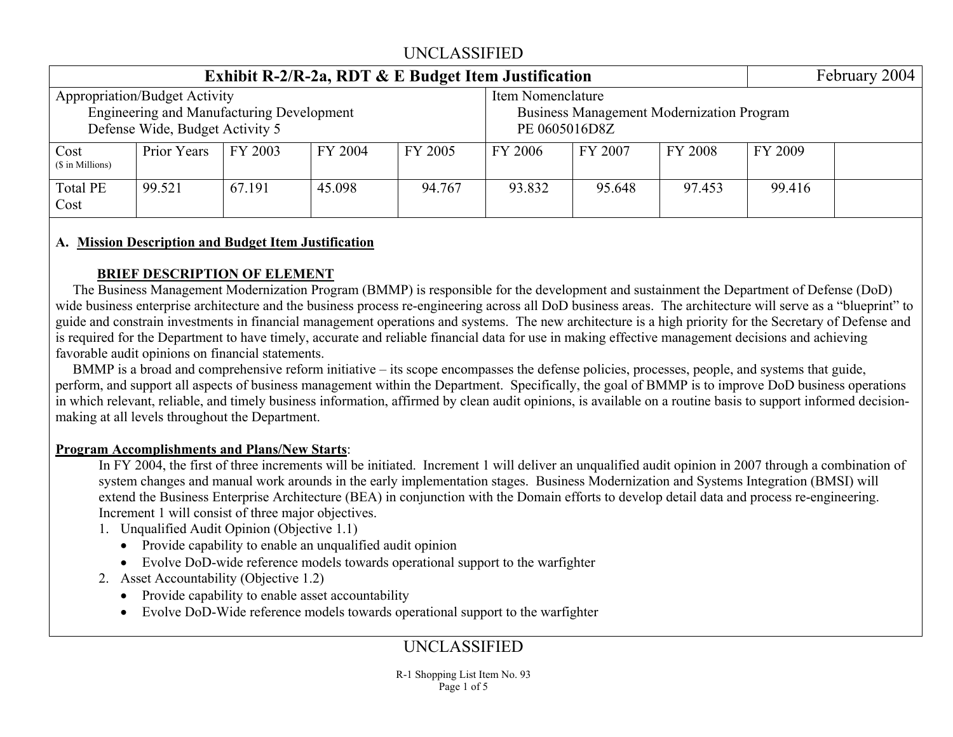|                          | Exhibit R-2/R-2a, RDT $\&$ E Budget Item Justification                                                                      |         |         |         |                                                                                        |         |         |         |  |  |  |  |  |  |
|--------------------------|-----------------------------------------------------------------------------------------------------------------------------|---------|---------|---------|----------------------------------------------------------------------------------------|---------|---------|---------|--|--|--|--|--|--|
|                          | <b>Appropriation/Budget Activity</b><br><b>Engineering and Manufacturing Development</b><br>Defense Wide, Budget Activity 5 |         |         |         | Item Nomenclature<br><b>Business Management Modernization Program</b><br>PE 0605016D8Z |         |         |         |  |  |  |  |  |  |
| Cost<br>(\$ in Millions) | Prior Years                                                                                                                 | FY 2003 | FY 2004 | FY 2005 | FY 2006                                                                                | FY 2007 | FY 2008 | FY 2009 |  |  |  |  |  |  |
| <b>Total PE</b><br>Cost  | 99.521                                                                                                                      | 67.191  | 45.098  | 94.767  | 93.832                                                                                 | 95.648  | 97.453  | 99.416  |  |  |  |  |  |  |

#### **A. Mission Description and Budget Item Justification**

#### **BRIEF DESCRIPTION OF ELEMENT**

 The Business Management Modernization Program (BMMP) is responsible for the development and sustainment the Department of Defense (DoD) wide business enterprise architecture and the business process re-engineering across all DoD business areas. The architecture will serve as a "blueprint" to guide and constrain investments in financial management operations and systems. The new architecture is a high priority for the Secretary of Defense and is required for the Department to have timely, accurate and reliable financial data for use in making effective management decisions and achieving favorable audit opinions on financial statements.

 BMMP is a broad and comprehensive reform initiative – its scope encompasses the defense policies, processes, people, and systems that guide, perform, and support all aspects of business management within the Department. Specifically, the goal of BMMP is to improve DoD business operations in which relevant, reliable, and timely business information, affirmed by clean audit opinions, is available on a routine basis to support informed decisionmaking at all levels throughout the Department.

#### **Program Accomplishments and Plans/New Starts**:

In FY 2004, the first of three increments will be initiated. Increment 1 will deliver an unqualified audit opinion in 2007 through a combination of system changes and manual work arounds in the early implementation stages. Business Modernization and Systems Integration (BMSI) will extend the Business Enterprise Architecture (BEA) in conjunction with the Domain efforts to develop detail data and process re-engineering. Increment 1 will consist of three major objectives.

- 1. Unqualified Audit Opinion (Objective 1.1)
	- Provide capability to enable an unqualified audit opinion
	- Evolve DoD-wide reference models towards operational support to the warfighter
- 2. Asset Accountability (Objective 1.2)
	- Provide capability to enable asset accountability
	- Evolve DoD-Wide reference models towards operational support to the warfighter

# UNCLASSIFIED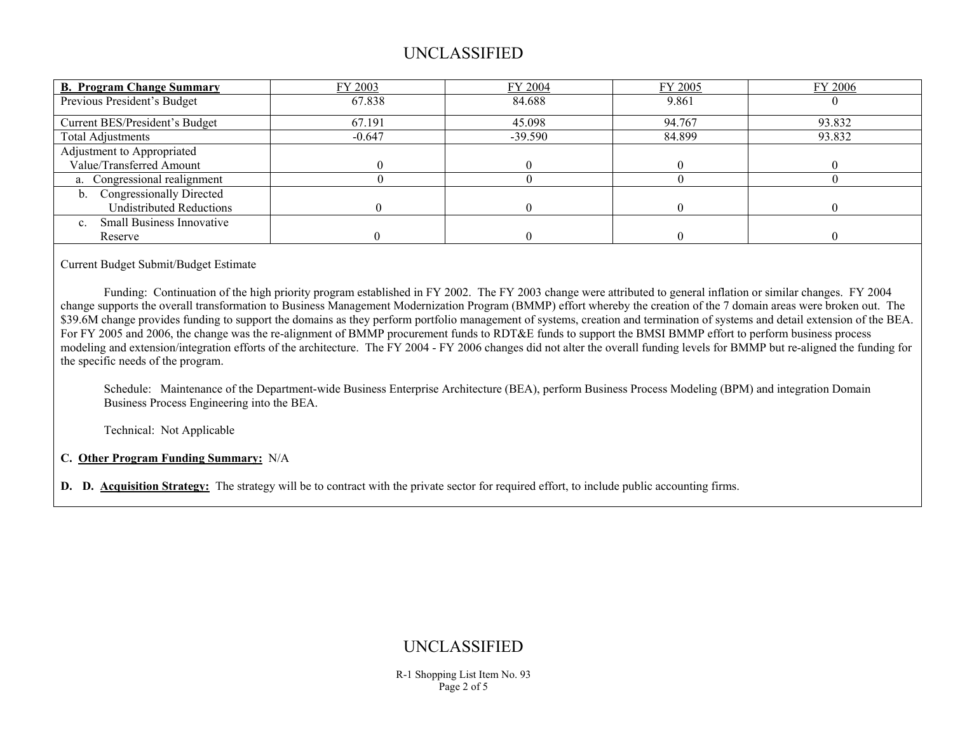| <b>B. Program Change Summary</b>       | FY 2003  | FY 2004   | FY 2005 | FY 2006 |
|----------------------------------------|----------|-----------|---------|---------|
| Previous President's Budget            | 67.838   | 84.688    | 9.861   |         |
| Current BES/President's Budget         | 67.191   | 45.098    | 94.767  | 93.832  |
| <b>Total Adjustments</b>               | $-0.647$ | $-39.590$ | 84.899  | 93.832  |
| Adjustment to Appropriated             |          |           |         |         |
| Value/Transferred Amount               |          |           |         |         |
| a. Congressional realignment           |          |           |         |         |
| <b>Congressionally Directed</b><br>b.  |          |           |         |         |
| <b>Undistributed Reductions</b>        |          |           |         |         |
| <b>Small Business Innovative</b><br>c. |          |           |         |         |
| Reserve                                |          |           |         |         |

Current Budget Submit/Budget Estimate

 Funding: Continuation of the high priority program established in FY 2002. The FY 2003 change were attributed to general inflation or similar changes. FY 2004 change supports the overall transformation to Business Management Modernization Program (BMMP) effort whereby the creation of the 7 domain areas were broken out. The \$39.6M change provides funding to support the domains as they perform portfolio management of systems, creation and termination of systems and detail extension of the BEA. For FY 2005 and 2006, the change was the re-alignment of BMMP procurement funds to RDT&E funds to support the BMSI BMMP effort to perform business process modeling and extension/integration efforts of the architecture. The FY 2004 - FY 2006 changes did not alter the overall funding levels for BMMP but re-aligned the funding for the specific needs of the program.

 Schedule: Maintenance of the Department-wide Business Enterprise Architecture (BEA), perform Business Process Modeling (BPM) and integration Domain Business Process Engineering into the BEA.

Technical: Not Applicable

**C. Other Program Funding Summary:** N/A

**D. D. Acquisition Strategy:** The strategy will be to contract with the private sector for required effort, to include public accounting firms.

### UNCLASSIFIED

R-1 Shopping List Item No. 93 Page 2 of 5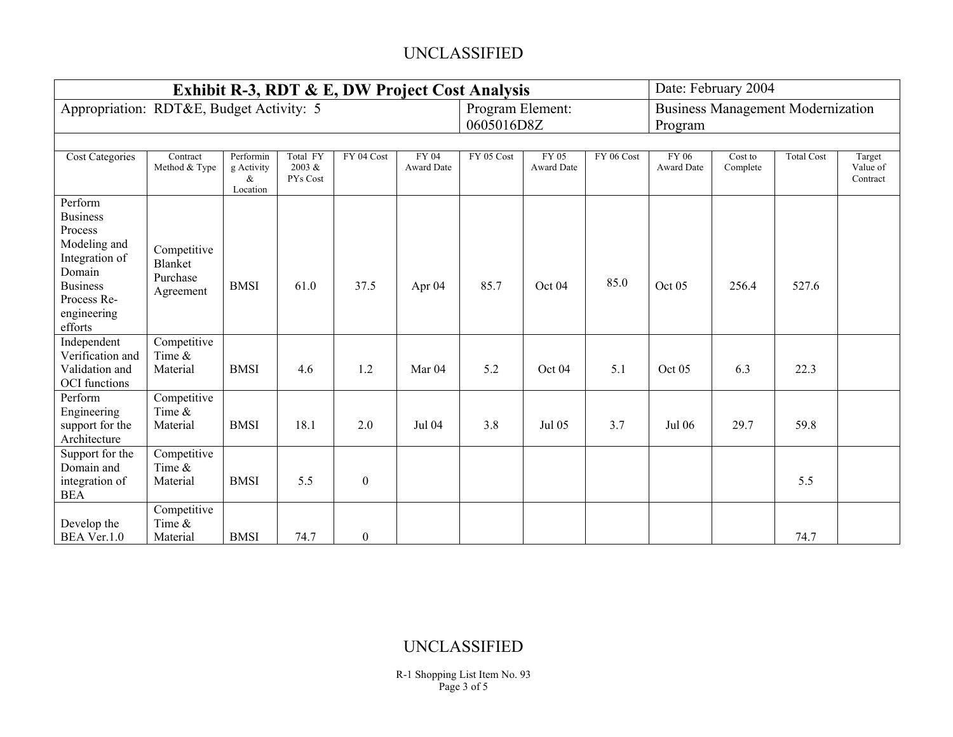|                                                                                                                                               |                                                 | Exhibit R-3, RDT & E, DW Project Cost Analysis |                                |                  | Date: February 2004        |                                                                                       |                            |            |                            |                     |                   |                                |  |
|-----------------------------------------------------------------------------------------------------------------------------------------------|-------------------------------------------------|------------------------------------------------|--------------------------------|------------------|----------------------------|---------------------------------------------------------------------------------------|----------------------------|------------|----------------------------|---------------------|-------------------|--------------------------------|--|
| Appropriation: RDT&E, Budget Activity: 5                                                                                                      |                                                 |                                                |                                |                  |                            | Program Element:<br><b>Business Management Modernization</b><br>0605016D8Z<br>Program |                            |            |                            |                     |                   |                                |  |
|                                                                                                                                               |                                                 |                                                |                                |                  |                            |                                                                                       |                            |            |                            |                     |                   |                                |  |
| <b>Cost Categories</b>                                                                                                                        | Contract<br>Method & Type                       | Performin<br>g Activity<br>$\&$<br>Location    | Total FY<br>2003 &<br>PYs Cost | FY 04 Cost       | FY 04<br><b>Award Date</b> | FY 05 Cost                                                                            | FY 05<br><b>Award Date</b> | FY 06 Cost | FY 06<br><b>Award Date</b> | Cost to<br>Complete | <b>Total Cost</b> | Target<br>Value of<br>Contract |  |
| Perform<br><b>Business</b><br>Process<br>Modeling and<br>Integration of<br>Domain<br><b>Business</b><br>Process Re-<br>engineering<br>efforts | Competitive<br>Blanket<br>Purchase<br>Agreement | <b>BMSI</b>                                    | 61.0                           | 37.5             | Apr 04                     | 85.7                                                                                  | Oct 04                     | 85.0       | Oct 05                     | 256.4               | 527.6             |                                |  |
| Independent<br>Verification and<br>Validation and<br><b>OCI</b> functions                                                                     | Competitive<br>Time &<br>Material               | <b>BMSI</b>                                    | 4.6                            | 1.2              | Mar <sub>04</sub>          | 5.2                                                                                   | Oct 04                     | 5.1        | Oct 05                     | 6.3                 | 22.3              |                                |  |
| Perform<br>Engineering<br>support for the<br>Architecture                                                                                     | Competitive<br>Time &<br>Material               | <b>BMSI</b>                                    | 18.1                           | 2.0              | Jul 04                     | 3.8                                                                                   | Jul 05                     | 3.7        | Jul 06                     | 29.7                | 59.8              |                                |  |
| Support for the<br>Domain and<br>integration of<br><b>BEA</b>                                                                                 | Competitive<br>Time &<br>Material               | <b>BMSI</b>                                    | 5.5                            | $\boldsymbol{0}$ |                            |                                                                                       |                            |            |                            |                     | 5.5               |                                |  |
| Develop the<br>BEA Ver.1.0                                                                                                                    | Competitive<br>Time $\&$<br>Material            | <b>BMSI</b>                                    | 74.7                           | $\boldsymbol{0}$ |                            |                                                                                       |                            |            |                            |                     | 74.7              |                                |  |

### UNCLASSIFIED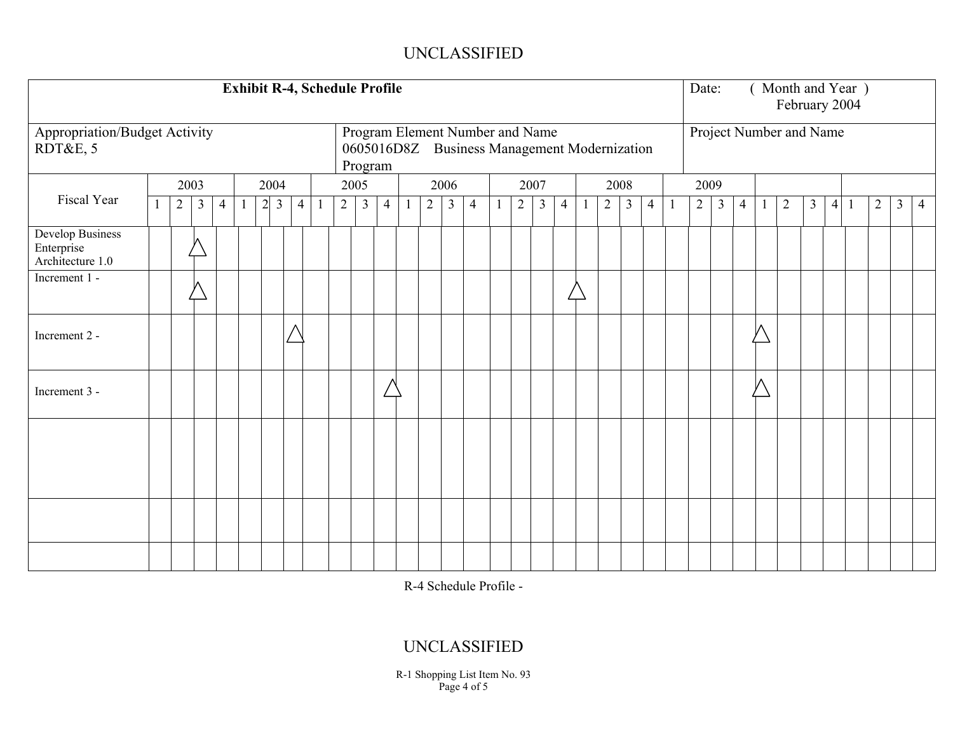| <b>Exhibit R-4, Schedule Profile</b>                      |  |            |                |                |         |                                  |                |  |                |                | Date:          |              |                |                | Month and Year )<br>February 2004                                               |      |                |                |                |    |                |                |                |  |            |                         |                |  |                |                |                 |                |                |                |
|-----------------------------------------------------------|--|------------|----------------|----------------|---------|----------------------------------|----------------|--|----------------|----------------|----------------|--------------|----------------|----------------|---------------------------------------------------------------------------------|------|----------------|----------------|----------------|----|----------------|----------------|----------------|--|------------|-------------------------|----------------|--|----------------|----------------|-----------------|----------------|----------------|----------------|
| <b>Appropriation/Budget Activity</b><br>RDT&E, 5          |  |            |                |                |         |                                  |                |  |                | Program        |                |              |                |                | Program Element Number and Name<br>0605016D8Z Business Management Modernization |      |                |                |                |    |                |                |                |  |            | Project Number and Name |                |  |                |                |                 |                |                |                |
|                                                           |  | 2003       |                |                | 2004    |                                  |                |  |                | 2005           |                |              | 2006           |                |                                                                                 | 2007 |                |                |                |    | 2008           |                |                |  | 2009       |                         |                |  |                |                |                 |                |                |                |
| Fiscal Year                                               |  | $\sqrt{2}$ | $\mathfrak{Z}$ | $\overline{4}$ | $\perp$ | $\overline{2}$<br>$\mathfrak{Z}$ | $\overline{4}$ |  | $\overline{2}$ | $\mathfrak{Z}$ | $\overline{4}$ | $\mathbf{1}$ | $\overline{2}$ | $\mathfrak{Z}$ | $\overline{4}$                                                                  |      | $\overline{2}$ | $\mathfrak{Z}$ | $\overline{4}$ | -1 | $\overline{2}$ | $\mathfrak{Z}$ | $\overline{4}$ |  | $\sqrt{2}$ | $\mathfrak{Z}$          | $\overline{4}$ |  | $\overline{2}$ | $\mathfrak{Z}$ | $\vert 4 \vert$ | $\overline{2}$ | $\mathfrak{Z}$ | $\overline{4}$ |
| <b>Develop Business</b><br>Enterprise<br>Architecture 1.0 |  |            |                |                |         |                                  |                |  |                |                |                |              |                |                |                                                                                 |      |                |                |                |    |                |                |                |  |            |                         |                |  |                |                |                 |                |                |                |
| Increment 1 -                                             |  |            |                |                |         |                                  |                |  |                |                |                |              |                |                |                                                                                 |      |                |                |                |    |                |                |                |  |            |                         |                |  |                |                |                 |                |                |                |
| Increment 2 -                                             |  |            |                |                |         |                                  | Λ              |  |                |                |                |              |                |                |                                                                                 |      |                |                |                |    |                |                |                |  |            |                         |                |  |                |                |                 |                |                |                |
| Increment 3 -                                             |  |            |                |                |         |                                  |                |  |                |                |                |              |                |                |                                                                                 |      |                |                |                |    |                |                |                |  |            |                         |                |  |                |                |                 |                |                |                |
|                                                           |  |            |                |                |         |                                  |                |  |                |                |                |              |                |                |                                                                                 |      |                |                |                |    |                |                |                |  |            |                         |                |  |                |                |                 |                |                |                |
|                                                           |  |            |                |                |         |                                  |                |  |                |                |                |              |                |                |                                                                                 |      |                |                |                |    |                |                |                |  |            |                         |                |  |                |                |                 |                |                |                |
|                                                           |  |            |                |                |         |                                  |                |  |                |                |                |              |                |                |                                                                                 |      |                |                |                |    |                |                |                |  |            |                         |                |  |                |                |                 |                |                |                |

R-4 Schedule Profile -

# UNCLASSIFIED

R-1 Shopping List Item No. 93 Page 4 of 5